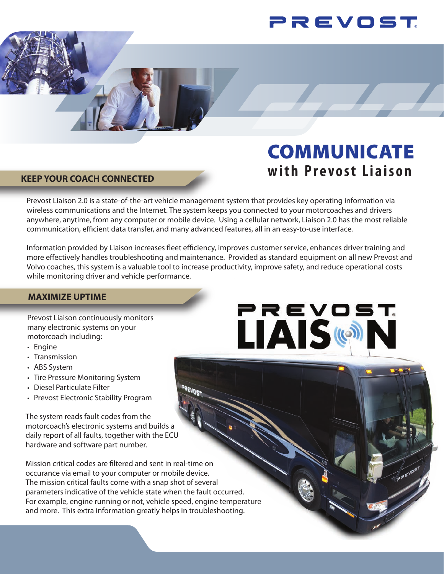

# COMMUNICATE **with Prevost Liaison**

PREVOST

LAIS ((c)

# **KEEP YOUR COACH CONNECTED**

Prevost Liaison 2.0 is a state-of-the-art vehicle management system that provides key operating information via wireless communications and the Internet. The system keeps you connected to your motorcoaches and drivers anywhere, anytime, from any computer or mobile device. Using a cellular network, Liaison 2.0 has the most reliable communication, efficient data transfer, and many advanced features, all in an easy-to-use interface.

Information provided by Liaison increases fleet efficiency, improves customer service, enhances driver training and more effectively handles troubleshooting and maintenance. Provided as standard equipment on all new Prevost and Volvo coaches, this system is a valuable tool to increase productivity, improve safety, and reduce operational costs while monitoring driver and vehicle performance.

# **MAXIMIZE UPTIME**

Prevost Liaison continuously monitors many electronic systems on your motorcoach including:

- Engine
- Transmission
- ABS System
- Tire Pressure Monitoring System
- Diesel Particulate Filter
- Prevost Electronic Stability Program

The system reads fault codes from the motorcoach's electronic systems and builds a daily report of all faults, together with the ECU hardware and software part number.

Mission critical codes are filtered and sent in real-time on occurance via email to your computer or mobile device. The mission critical faults come with a snap shot of several parameters indicative of the vehicle state when the fault occurred. For example, engine running or not, vehicle speed, engine temperature and more. This extra information greatly helps in troubleshooting.